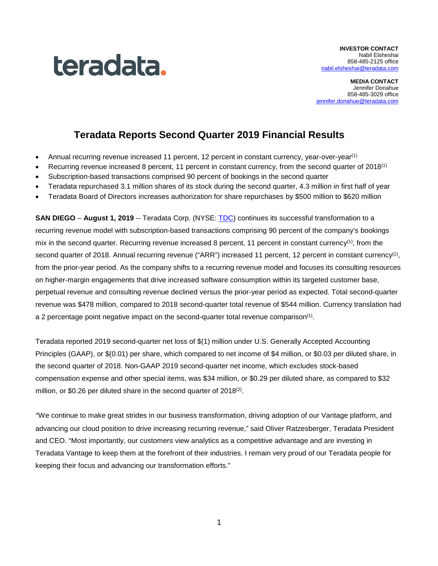

**MEDIA CONTACT** Jennifer Donahue 858-485-3029 office [jennifer.donahue@teradata.com](mailto:jennifer.donahue@teradata.com)

# **Teradata Reports Second Quarter 2019 Financial Results**

- Annual recurring revenue increased 11 percent, 12 percent in constant currency, year-over-year<sup>(1)</sup>
- Recurring revenue increased 8 percent, 11 percent in constant currency, from the second quarter of 2018(1)
- Subscription-based transactions comprised 90 percent of bookings in the second quarter
- Teradata repurchased 3.1 million shares of its stock during the second quarter, 4.3 million in first half of year
- Teradata Board of Directors increases authorization for share repurchases by \$500 million to \$620 million

**SAN DIEGO** – **August 1, 2019** -- Teradata Corp. (NYSE: [TDC\)](http://investor.teradata.com/about-teradata/default.aspx) continues its successful transformation to a recurring revenue model with subscription-based transactions comprising 90 percent of the company's bookings mix in the second quarter. Recurring revenue increased 8 percent, 11 percent in constant currency<sup>(1)</sup>, from the second quarter of 2018. Annual recurring revenue ("ARR") increased 11 percent, 12 percent in constant currency<sup>(1)</sup>, from the prior-year period. As the company shifts to a recurring revenue model and focuses its consulting resources on higher-margin engagements that drive increased software consumption within its targeted customer base, perpetual revenue and consulting revenue declined versus the prior-year period as expected. Total second-quarter revenue was \$478 million, compared to 2018 second-quarter total revenue of \$544 million. Currency translation had a 2 percentage point negative impact on the second-quarter total revenue comparison $(1)$ .

Teradata reported 2019 second-quarter net loss of \$(1) million under U.S. Generally Accepted Accounting Principles (GAAP), or \$(0.01) per share, which compared to net income of \$4 million, or \$0.03 per diluted share, in the second quarter of 2018. Non-GAAP 2019 second-quarter net income, which excludes stock-based compensation expense and other special items, was \$34 million, or \$0.29 per diluted share, as compared to \$32 million, or \$0.26 per diluted share in the second quarter of 2018<sup>(2)</sup>.

"We continue to make great strides in our business transformation, driving adoption of our Vantage platform, and advancing our cloud position to drive increasing recurring revenue," said Oliver Ratzesberger, Teradata President and CEO. "Most importantly, our customers view analytics as a competitive advantage and are investing in Teradata Vantage to keep them at the forefront of their industries. I remain very proud of our Teradata people for keeping their focus and advancing our transformation efforts."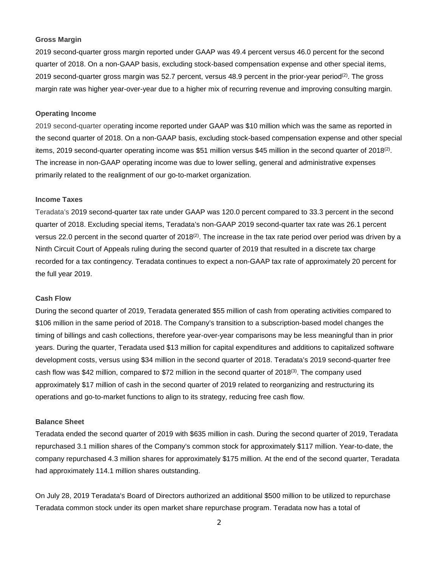## **Gross Margin**

2019 second-quarter gross margin reported under GAAP was 49.4 percent versus 46.0 percent for the second quarter of 2018. On a non-GAAP basis, excluding stock-based compensation expense and other special items, 2019 second-quarter gross margin was 52.7 percent, versus 48.9 percent in the prior-year period<sup>(2)</sup>. The gross margin rate was higher year-over-year due to a higher mix of recurring revenue and improving consulting margin.

#### **Operating Income**

2019 second-quarter operating income reported under GAAP was \$10 million which was the same as reported in the second quarter of 2018. On a non-GAAP basis, excluding stock-based compensation expense and other special items, 2019 second-quarter operating income was \$51 million versus \$45 million in the second quarter of 2018<sup>(2)</sup>. The increase in non-GAAP operating income was due to lower selling, general and administrative expenses primarily related to the realignment of our go-to-market organization.

#### **Income Taxes**

Teradata's 2019 second-quarter tax rate under GAAP was 120.0 percent compared to 33.3 percent in the second quarter of 2018. Excluding special items, Teradata's non-GAAP 2019 second-quarter tax rate was 26.1 percent versus 22.0 percent in the second quarter of 2018<sup>(2)</sup>. The increase in the tax rate period over period was driven by a Ninth Circuit Court of Appeals ruling during the second quarter of 2019 that resulted in a discrete tax charge recorded for a tax contingency. Teradata continues to expect a non-GAAP tax rate of approximately 20 percent for the full year 2019.

#### **Cash Flow**

During the second quarter of 2019, Teradata generated \$55 million of cash from operating activities compared to \$106 million in the same period of 2018. The Company's transition to a subscription-based model changes the timing of billings and cash collections, therefore year-over-year comparisons may be less meaningful than in prior years. During the quarter, Teradata used \$13 million for capital expenditures and additions to capitalized software development costs, versus using \$34 million in the second quarter of 2018. Teradata's 2019 second-quarter free cash flow was \$42 million, compared to \$72 million in the second quarter of 2018<sup>(3)</sup>. The company used approximately \$17 million of cash in the second quarter of 2019 related to reorganizing and restructuring its operations and go-to-market functions to align to its strategy, reducing free cash flow.

#### **Balance Sheet**

Teradata ended the second quarter of 2019 with \$635 million in cash. During the second quarter of 2019, Teradata repurchased 3.1 million shares of the Company's common stock for approximately \$117 million. Year-to-date, the company repurchased 4.3 million shares for approximately \$175 million. At the end of the second quarter, Teradata had approximately 114.1 million shares outstanding.

On July 28, 2019 Teradata's Board of Directors authorized an additional \$500 million to be utilized to repurchase Teradata common stock under its open market share repurchase program. Teradata now has a total of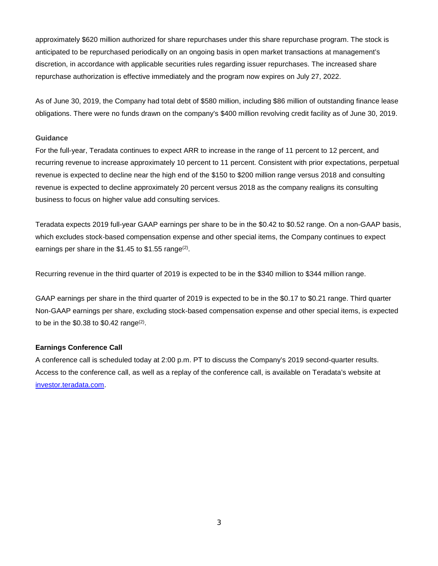approximately \$620 million authorized for share repurchases under this share repurchase program. The stock is anticipated to be repurchased periodically on an ongoing basis in open market transactions at management's discretion, in accordance with applicable securities rules regarding issuer repurchases. The increased share repurchase authorization is effective immediately and the program now expires on July 27, 2022.

As of June 30, 2019, the Company had total debt of \$580 million, including \$86 million of outstanding finance lease obligations. There were no funds drawn on the company's \$400 million revolving credit facility as of June 30, 2019.

#### **Guidance**

For the full-year, Teradata continues to expect ARR to increase in the range of 11 percent to 12 percent, and recurring revenue to increase approximately 10 percent to 11 percent. Consistent with prior expectations, perpetual revenue is expected to decline near the high end of the \$150 to \$200 million range versus 2018 and consulting revenue is expected to decline approximately 20 percent versus 2018 as the company realigns its consulting business to focus on higher value add consulting services.

Teradata expects 2019 full-year GAAP earnings per share to be in the \$0.42 to \$0.52 range. On a non-GAAP basis, which excludes stock-based compensation expense and other special items, the Company continues to expect earnings per share in the \$1.45 to \$1.55 range(2).

Recurring revenue in the third quarter of 2019 is expected to be in the \$340 million to \$344 million range.

GAAP earnings per share in the third quarter of 2019 is expected to be in the \$0.17 to \$0.21 range. Third quarter Non-GAAP earnings per share, excluding stock-based compensation expense and other special items, is expected to be in the  $$0.38$  to  $$0.42$  range $^{(2)}$ .

## **Earnings Conference Call**

A conference call is scheduled today at 2:00 p.m. PT to discuss the Company's 2019 second-quarter results. Access to the conference call, as well as a replay of the conference call, is available on Teradata's website at [investor.teradata.com.](http://investor.teradata.com/about-teradata/default.aspx#top)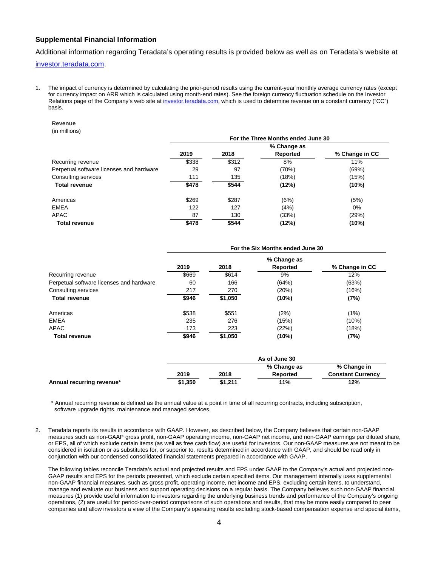## **Supplemental Financial Information**

Additional information regarding Teradata's operating results is provided below as well as on Teradata's website at

[investor.teradata.com.](https://investor.teradata.com/)

1. The impact of currency is determined by calculating the prior-period results using the current-year monthly average currency rates (except for currency impact on ARR which is calculated using month-end rates). See the foreign currency fluctuation schedule on the Investor Relations page of the Company's web site a[t investor.teradata.com,](http://investor.teradata.com/about-teradata/default.aspx#top) which is used to determine revenue on a constant currency ("CC") basis.

#### **Revenue**

(in millions)

|                                          | For the Three Months ended June 30 |       |          |                |  |  |  |  |  |
|------------------------------------------|------------------------------------|-------|----------|----------------|--|--|--|--|--|
|                                          | % Change as                        |       |          |                |  |  |  |  |  |
|                                          | 2019                               | 2018  | Reported | % Change in CC |  |  |  |  |  |
| Recurring revenue                        | \$338                              | \$312 | 8%       | 11%            |  |  |  |  |  |
| Perpetual software licenses and hardware | 29                                 | 97    | (70%)    | (69%)          |  |  |  |  |  |
| Consulting services                      | 111                                | 135   | (18%)    | (15%)          |  |  |  |  |  |
| <b>Total revenue</b>                     | \$478                              | \$544 | (12%)    | (10%)          |  |  |  |  |  |
| Americas                                 | \$269                              | \$287 | (6%)     | (5%)           |  |  |  |  |  |
| <b>EMEA</b>                              | 122                                | 127   | (4%)     | 0%             |  |  |  |  |  |
| APAC                                     | 87                                 | 130   | (33%)    | (29%)          |  |  |  |  |  |
| <b>Total revenue</b>                     | \$478                              | \$544 | (12%)    | (10%)          |  |  |  |  |  |

|                                          | For the Six Months ended June 30 |         |                            |                |  |  |  |  |
|------------------------------------------|----------------------------------|---------|----------------------------|----------------|--|--|--|--|
|                                          | 2019                             | 2018    | % Change as<br>Reported    | % Change in CC |  |  |  |  |
| Recurring revenue                        | \$669                            | \$614   | 9%                         | 12%            |  |  |  |  |
| Perpetual software licenses and hardware | 60                               | 166     | (64%)                      | (63%)          |  |  |  |  |
| Consulting services                      | 217                              | 270     | (20%)                      | (16%)          |  |  |  |  |
| <b>Total revenue</b>                     | \$946                            | \$1,050 | (10%)                      | (7%)           |  |  |  |  |
| Americas                                 | \$538                            | \$551   | (2%)                       | (1%)           |  |  |  |  |
| <b>EMEA</b>                              | 235                              | 276     | (15%)                      | (10%)          |  |  |  |  |
| <b>APAC</b>                              | 173                              | 223     | (22%)                      | (18%)          |  |  |  |  |
| <b>Total revenue</b>                     | \$946                            | \$1,050 | (10%)                      | (7%)           |  |  |  |  |
|                                          |                                  |         | $A \in \mathsf{A}$ lung 30 |                |  |  |  |  |

|                           |         |         | As of June 30 |                          |
|---------------------------|---------|---------|---------------|--------------------------|
|                           |         |         | % Change as   | % Change in              |
|                           | 2019    | 2018    | Reported      | <b>Constant Currency</b> |
| Annual recurring revenue* | \$1,350 | \$1.211 | 11%           | 12%                      |

\* Annual recurring revenue is defined as the annual value at a point in time of all recurring contracts, including subscription, software upgrade rights, maintenance and managed services.

2. Teradata reports its results in accordance with GAAP. However, as described below, the Company believes that certain non-GAAP measures such as non-GAAP gross profit, non-GAAP operating income, non-GAAP net income, and non-GAAP earnings per diluted share, or EPS, all of which exclude certain items (as well as free cash flow) are useful for investors. Our non-GAAP measures are not meant to be considered in isolation or as substitutes for, or superior to, results determined in accordance with GAAP, and should be read only in conjunction with our condensed consolidated financial statements prepared in accordance with GAAP.

The following tables reconcile Teradata's actual and projected results and EPS under GAAP to the Company's actual and projected non-GAAP results and EPS for the periods presented, which exclude certain specified items. Our management internally uses supplemental non-GAAP financial measures, such as gross profit, operating income, net income and EPS, excluding certain items, to understand, manage and evaluate our business and support operating decisions on a regular basis. The Company believes such non-GAAP financial measures (1) provide useful information to investors regarding the underlying business trends and performance of the Company's ongoing operations, (2) are useful for period-over-period comparisons of such operations and results, that may be more easily compared to peer companies and allow investors a view of the Company's operating results excluding stock-based compensation expense and special items,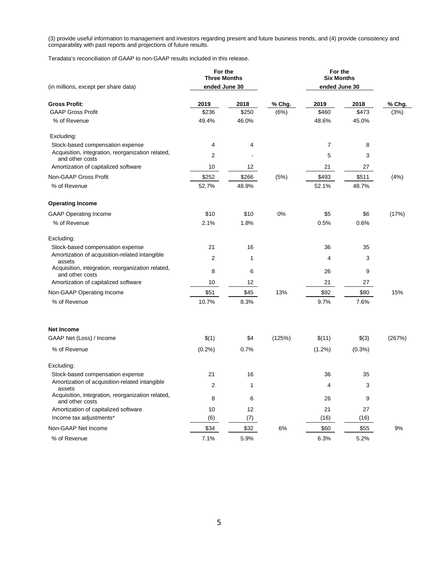(3) provide useful information to management and investors regarding present and future business trends, and (4) provide consistency and comparability with past reports and projections of future results.

Teradata's reconciliation of GAAP to non-GAAP results included in this release.

| (in millions, except per share data)                                 | For the<br><b>Three Months</b><br>ended June 30 |       |        | For the<br><b>Six Months</b><br>ended June 30 |           |        |
|----------------------------------------------------------------------|-------------------------------------------------|-------|--------|-----------------------------------------------|-----------|--------|
|                                                                      |                                                 |       |        |                                               |           |        |
| <b>Gross Profit:</b>                                                 | 2019                                            | 2018  | % Chg. | 2019                                          | 2018      | % Chg. |
| <b>GAAP Gross Profit</b><br>% of Revenue                             | \$236<br>49.4%                                  | \$250 | (6%)   | \$460                                         | \$473     | (3%)   |
|                                                                      |                                                 | 46.0% |        | 48.6%                                         | 45.0%     |        |
| Excluding:                                                           |                                                 |       |        |                                               |           |        |
| Stock-based compensation expense                                     | 4                                               | 4     |        | 7                                             | 8         |        |
| Acquisition, integration, reorganization related,                    | $\overline{2}$                                  |       |        | 5                                             | 3         |        |
| and other costs<br>Amortization of capitalized software              | 10                                              | 12    |        | 21                                            | 27        |        |
| Non-GAAP Gross Profit                                                | \$252                                           | \$266 | (5%)   | \$493                                         | \$511     | (4%)   |
| % of Revenue                                                         | 52.7%                                           | 48.9% |        | 52.1%                                         | 48.7%     |        |
| <b>Operating Income</b>                                              |                                                 |       |        |                                               |           |        |
| <b>GAAP Operating Income</b>                                         | \$10                                            | \$10  | 0%     | \$5                                           | \$6       | (17%)  |
| % of Revenue                                                         | 2.1%                                            | 1.8%  |        | 0.5%                                          | 0.6%      |        |
| Excluding:                                                           |                                                 |       |        |                                               |           |        |
| Stock-based compensation expense                                     | 21                                              | 16    |        | 36                                            | 35        |        |
| Amortization of acquisition-related intangible<br>assets             | $\overline{2}$                                  | 1     |        | 4                                             | 3         |        |
| Acquisition, integration, reorganization related,<br>and other costs | 8                                               | 6     |        | 26                                            | 9         |        |
| Amortization of capitalized software                                 | 10                                              | 12    |        | 21                                            | 27        |        |
| Non-GAAP Operating Income                                            | \$51                                            | \$45  | 13%    | \$92                                          | \$80      | 15%    |
| % of Revenue                                                         | 10.7%                                           | 8.3%  |        | 9.7%                                          | 7.6%      |        |
|                                                                      |                                                 |       |        |                                               |           |        |
| <b>Net Income</b><br>GAAP Net (Loss) / Income                        | \$(1)                                           | \$4   | (125%) | \$(11)                                        | \$(3)     | (267%) |
| % of Revenue                                                         | (0.2%)                                          | 0.7%  |        | $(1.2\%)$                                     | $(0.3\%)$ |        |
|                                                                      |                                                 |       |        |                                               |           |        |
| Excluding:                                                           |                                                 |       |        |                                               |           |        |
| Stock-based compensation expense                                     | 21                                              | 16    |        | 36                                            | 35        |        |
| Amortization of acquisition-related intangible<br>assets             | $\overline{2}$                                  | 1     |        | $\overline{4}$                                | 3         |        |
| Acquisition, integration, reorganization related,<br>and other costs | 8                                               | 6     |        | 26                                            | 9         |        |
| Amortization of capitalized software                                 | 10                                              | 12    |        | 21                                            | 27        |        |
| Income tax adjustments*                                              | (6)                                             | (7)   |        | (16)                                          | (16)      |        |
| Non-GAAP Net Income                                                  | \$34                                            | \$32  | 6%     | \$60                                          | \$55      | 9%     |
| % of Revenue                                                         | 7.1%                                            | 5.9%  |        | 6.3%                                          | 5.2%      |        |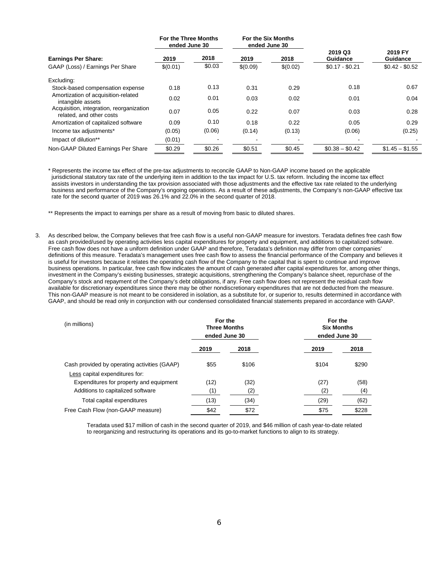|                                                                      | For the Three Months<br>ended June 30 |        | For the Six Months<br>ended June 30 |          |                     |                     |
|----------------------------------------------------------------------|---------------------------------------|--------|-------------------------------------|----------|---------------------|---------------------|
| <b>Earnings Per Share:</b>                                           | 2019                                  | 2018   | 2019                                | 2018     | 2019 Q3<br>Guidance | 2019 FY<br>Guidance |
| GAAP (Loss) / Earnings Per Share                                     | \$(0.01)                              | \$0.03 | \$(0.09)                            | \$(0.02) | $$0.17 - $0.21$     | $$0.42 - $0.52$     |
| Excluding:                                                           |                                       |        |                                     |          |                     |                     |
| Stock-based compensation expense                                     | 0.18                                  | 0.13   | 0.31                                | 0.29     | 0.18                | 0.67                |
| Amortization of acquisition-related<br>intangible assets             | 0.02                                  | 0.01   | 0.03                                | 0.02     | 0.01                | 0.04                |
| Acquisition, integration, reorganization<br>related, and other costs | 0.07                                  | 0.05   | 0.22                                | 0.07     | 0.03                | 0.28                |
| Amortization of capitalized software                                 | 0.09                                  | 0.10   | 0.18                                | 0.22     | 0.05                | 0.29                |
| Income tax adjustments*                                              | (0.05)                                | (0.06) | (0.14)                              | (0.13)   | (0.06)              | (0.25)              |
| Impact of dilution**                                                 | (0.01)                                |        |                                     |          |                     |                     |
| Non-GAAP Diluted Earnings Per Share                                  | \$0.29                                | \$0.26 | \$0.51                              | \$0.45   | $$0.38 - $0.42$     | $$1.45 - $1.55$     |

\* Represents the income tax effect of the pre-tax adjustments to reconcile GAAP to Non-GAAP income based on the applicable jurisdictional statutory tax rate of the underlying item in addition to the tax impact for U.S. tax reform. Including the income tax effect assists investors in understanding the tax provision associated with those adjustments and the effective tax rate related to the underlying business and performance of the Company's ongoing operations. As a result of these adjustments, the Company's non-GAAP effective tax rate for the second quarter of 2019 was 26.1% and 22.0% in the second quarter of 2018.

\*\* Represents the impact to earnings per share as a result of moving from basic to diluted shares.

3. As described below, the Company believes that free cash flow is a useful non-GAAP measure for investors. Teradata defines free cash flow as cash provided/used by operating activities less capital expenditures for property and equipment, and additions to capitalized software. Free cash flow does not have a uniform definition under GAAP and therefore, Teradata's definition may differ from other companies' definitions of this measure. Teradata's management uses free cash flow to assess the financial performance of the Company and believes it is useful for investors because it relates the operating cash flow of the Company to the capital that is spent to continue and improve business operations. In particular, free cash flow indicates the amount of cash generated after capital expenditures for, among other things, investment in the Company's existing businesses, strategic acquisitions, strengthening the Company's balance sheet, repurchase of the Company's stock and repayment of the Company's debt obligations, if any. Free cash flow does not represent the residual cash flow available for discretionary expenditures since there may be other nondiscretionary expenditures that are not deducted from the measure. This non-GAAP measure is not meant to be considered in isolation, as a substitute for, or superior to, results determined in accordance with GAAP, and should be read only in conjunction with our condensed consolidated financial statements prepared in accordance with GAAP.

| (in millions)                                                                  | For the<br><b>Three Months</b><br>ended June 30 |       | For the<br><b>Six Months</b><br>ended June 30 |       |
|--------------------------------------------------------------------------------|-------------------------------------------------|-------|-----------------------------------------------|-------|
|                                                                                | 2019                                            | 2018  | 2019                                          | 2018  |
| Cash provided by operating activities (GAAP)<br>Less capital expenditures for: | \$55                                            | \$106 | \$104                                         | \$290 |
| Expenditures for property and equipment                                        | (12)                                            | (32)  | (27)                                          | (58)  |
| Additions to capitalized software                                              | (1)                                             | (2)   | (2)                                           | (4)   |
| Total capital expenditures                                                     | (13)                                            | (34)  | (29)                                          | (62)  |
| Free Cash Flow (non-GAAP measure)                                              | \$42                                            | \$72  | \$75                                          | \$228 |

Teradata used \$17 million of cash in the second quarter of 2019, and \$46 million of cash year-to-date related to reorganizing and restructuring its operations and its go-to-market functions to align to its strategy.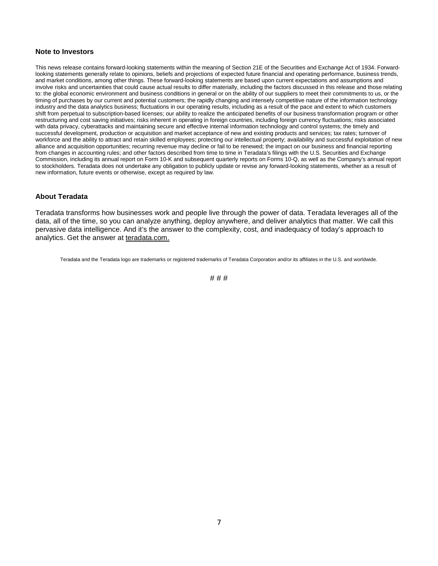## **Note to Investors**

This news release contains forward-looking statements within the meaning of Section 21E of the Securities and Exchange Act of 1934. Forwardlooking statements generally relate to opinions, beliefs and projections of expected future financial and operating performance, business trends, and market conditions, among other things. These forward-looking statements are based upon current expectations and assumptions and involve risks and uncertainties that could cause actual results to differ materially, including the factors discussed in this release and those relating to: the global economic environment and business conditions in general or on the ability of our suppliers to meet their commitments to us, or the timing of purchases by our current and potential customers; the rapidly changing and intensely competitive nature of the information technology industry and the data analytics business; fluctuations in our operating results, including as a result of the pace and extent to which customers shift from perpetual to subscription-based licenses; our ability to realize the anticipated benefits of our business transformation program or other restructuring and cost saving initiatives; risks inherent in operating in foreign countries, including foreign currency fluctuations; risks associated with data privacy, cyberattacks and maintaining secure and effective internal information technology and control systems; the timely and successful development, production or acquisition and market acceptance of new and existing products and services; tax rates; turnover of workforce and the ability to attract and retain skilled employees; protecting our intellectual property; availability and successful exploitation of new alliance and acquisition opportunities; recurring revenue may decline or fail to be renewed; the impact on our business and financial reporting from changes in accounting rules; and other factors described from time to time in Teradata's filings with the U.S. Securities and Exchange Commission, including its annual report on Form 10-K and subsequent quarterly reports on Forms 10-Q, as well as the Company's annual report to stockholders. Teradata does not undertake any obligation to publicly update or revise any forward-looking statements, whether as a result of new information, future events or otherwise, except as required by law.

## **About Teradata**

Teradata transforms how businesses work and people live through the power of data. Teradata leverages all of the data, all of the time, so you can analyze anything, deploy anywhere, and deliver analytics that matter. We call this pervasive data intelligence. And it's the answer to the complexity, cost, and inadequacy of today's approach to analytics. Get the answer at [teradata.com.](http://www.teradata.com/)

Teradata and the Teradata logo are trademarks or registered trademarks of Teradata Corporation and/or its affiliates in the U.S. and worldwide.

# # #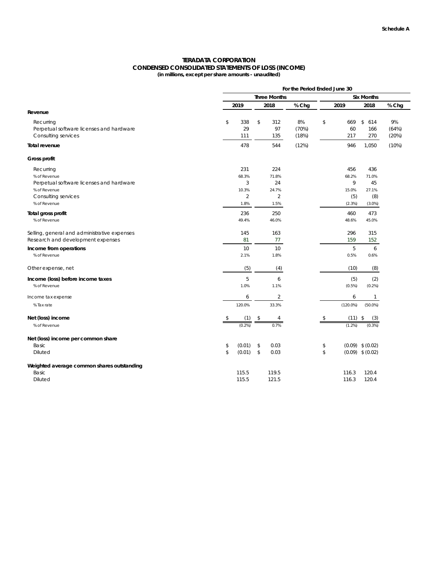#### **TERADATA CORPORATION CONDENSED CONSOLIDATED STATEMENTS OF LOSS (INCOME) (in millions, except per share amounts - unaudited)**

|                                              | For the Period Ended June 30 |                                 |       |    |             |                      |       |
|----------------------------------------------|------------------------------|---------------------------------|-------|----|-------------|----------------------|-------|
|                                              |                              | <b>Three Months</b>             |       |    |             |                      |       |
|                                              | 2019                         | 2018                            | % Chg |    | 2019        | 2018                 | % Chg |
| Revenue                                      |                              |                                 |       |    |             |                      |       |
| Recurring                                    | 338<br>\$                    | $\sqrt{2}$<br>312               | 8%    | \$ | 669         | \$<br>614            | 9%    |
| Perpetual software licenses and hardware     | 29                           | 97                              | (70%) |    | 60          | 166                  | (64%) |
| <b>Consulting services</b>                   | 111                          | 135                             | (18%) |    | 217         | 270                  | (20%) |
| <b>Total revenue</b>                         | 478                          | 544                             | (12%) |    | 946         | 1,050                | (10%) |
| Gross profit                                 |                              |                                 |       |    |             |                      |       |
| Recurring                                    | 231                          | 224                             |       |    | 456         | 436                  |       |
| % of Revenue                                 | 68.3%                        | 71.8%                           |       |    | 68.2%       | 71.0%                |       |
| Perpetual software licenses and hardware     | 3                            | 24                              |       |    | 9           | 45                   |       |
| % of Revenue                                 | 10.3%                        | 24.7%                           |       |    | 15.0%       | 27.1%                |       |
| Consulting services                          | $\overline{2}$               | $\overline{2}$                  |       |    | (5)         | (8)                  |       |
| % of Revenue                                 | 1.8%                         | 1.5%                            |       |    | $(2.3\%)$   | $(3.0\%)$            |       |
| Total gross profit                           | 236                          | 250                             |       |    | 460         | 473                  |       |
| % of Revenue                                 | 49.4%                        | 46.0%                           |       |    | 48.6%       | 45.0%                |       |
| Selling, general and administrative expenses | 145                          | 163                             |       |    | 296         | 315                  |       |
| Research and development expenses            | 81                           | 77                              |       |    | 159         | 152                  |       |
| Income from operations                       | 10                           | 10                              |       |    | 5           | 6                    |       |
| % of Revenue                                 | 2.1%                         | 1.8%                            |       |    | 0.5%        | 0.6%                 |       |
| Other expense, net                           | (5)                          | (4)                             |       |    | (10)        | (8)                  |       |
| Income (loss) before income taxes            | 5                            | 6                               |       |    | (5)         | (2)                  |       |
| % of Revenue                                 | 1.0%                         | 1.1%                            |       |    | $(0.5\%)$   | (0.2%)               |       |
| Income tax expense                           | 6                            | $\overline{2}$                  |       |    | 6           | 1                    |       |
| % Tax rate                                   | 120.0%                       | 33.3%                           |       |    | $(120.0\%)$ | $(50.0\%)$           |       |
| Net (loss) income                            | (1)<br>\$                    | \$<br>4                         |       | \$ | $(11)$ \$   | (3)                  |       |
| % of Revenue                                 | (0.2%)                       | 0.7%                            |       |    | $(1.2\%)$   | (0.3%)               |       |
| Net (loss) income per common share           |                              |                                 |       |    |             |                      |       |
| Basic                                        | (0.01)<br>\$                 | \$<br>0.03                      |       | \$ |             | $(0.09)$ \$ $(0.02)$ |       |
| <b>Diluted</b>                               | \$<br>(0.01)                 | $\sqrt[6]{\frac{1}{2}}$<br>0.03 |       | \$ |             | $(0.09)$ \$ $(0.02)$ |       |
| Weighted average common shares outstanding   |                              |                                 |       |    |             |                      |       |
| Basic                                        | 115.5                        | 119.5                           |       |    | 116.3       | 120.4                |       |
| <b>Diluted</b>                               | 115.5                        | 121.5                           |       |    | 116.3       | 120.4                |       |
|                                              |                              |                                 |       |    |             |                      |       |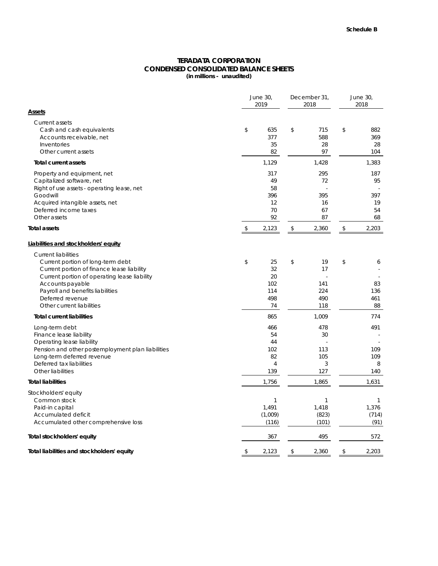## **CONDENSED CONSOLIDATED BALANCE SHEETS TERADATA CORPORATION**

| (in millions - unaudited) |  |
|---------------------------|--|
|                           |  |

|                                                                                                                                                                                                                                                                        | June 30,<br>2019 | December 31,<br>2018                                  | June 30,<br>2018                           |    |                                        |
|------------------------------------------------------------------------------------------------------------------------------------------------------------------------------------------------------------------------------------------------------------------------|------------------|-------------------------------------------------------|--------------------------------------------|----|----------------------------------------|
| <u>Assets</u>                                                                                                                                                                                                                                                          |                  |                                                       |                                            |    |                                        |
| Current assets<br>Cash and cash equivalents<br>Accounts receivable, net<br>Inventories<br>Other current assets                                                                                                                                                         | \$               | 635<br>377<br>35<br>82                                | \$<br>715<br>588<br>28<br>97               | \$ | 882<br>369<br>28<br>104                |
| <b>Total current assets</b>                                                                                                                                                                                                                                            |                  | 1,129                                                 | 1,428                                      |    | 1,383                                  |
| Property and equipment, net<br>Capitalized software, net<br>Right of use assets - operating lease, net<br>Goodwill<br>Acquired intangible assets, net<br>Deferred income taxes<br>Other assets                                                                         |                  | 317<br>49<br>58<br>396<br>12<br>70<br>92              | 295<br>72<br>395<br>16<br>67<br>87         |    | 187<br>95<br>397<br>19<br>54<br>68     |
| Total assets                                                                                                                                                                                                                                                           | \$               | 2,123                                                 | \$<br>2,360                                | \$ | 2,203                                  |
| Liabilities and stockholders' equity                                                                                                                                                                                                                                   |                  |                                                       |                                            |    |                                        |
| <b>Current liabilities</b><br>Current portion of long-term debt<br>Current portion of finance lease liability<br>Current portion of operating lease liability<br>Accounts payable<br>Payroll and benefits liabilities<br>Deferred revenue<br>Other current liabilities | \$               | 25<br>32<br>20<br>102<br>114<br>498<br>74             | \$<br>19<br>17<br>141<br>224<br>490<br>118 | \$ | 6<br>83<br>136<br>461<br>88            |
| <b>Total current liabilities</b>                                                                                                                                                                                                                                       |                  | 865                                                   | 1,009                                      |    | 774                                    |
| Long-term debt<br>Finance lease liability<br>Operating lease liability<br>Pension and other postemployment plan liabilities<br>Long-term deferred revenue<br>Deferred tax liabilities<br>Other liabilities                                                             |                  | 466<br>54<br>44<br>102<br>82<br>$\overline{4}$<br>139 | 478<br>30<br>113<br>105<br>3<br>127        |    | 491<br>109<br>109<br>8<br>140          |
| <b>Total liabilities</b>                                                                                                                                                                                                                                               |                  | 1,756                                                 | 1,865                                      |    | 1,631                                  |
| Stockholders' equity<br>Common stock<br>Paid-in capital<br>Accumulated deficit<br>Accumulated other comprehensive loss                                                                                                                                                 |                  | $\mathbf{1}$<br>1,491<br>(1,009)<br>(116)             | $\mathbf{1}$<br>1,418<br>(823)<br>(101)    |    | $\mathbf{1}$<br>1,376<br>(714)<br>(91) |
| Total stockholders' equity                                                                                                                                                                                                                                             |                  | 367                                                   | 495                                        |    | 572                                    |
| Total liabilities and stockholders' equity                                                                                                                                                                                                                             | \$               | 2,123                                                 | \$<br>2,360                                | \$ | 2,203                                  |
|                                                                                                                                                                                                                                                                        |                  |                                                       |                                            |    |                                        |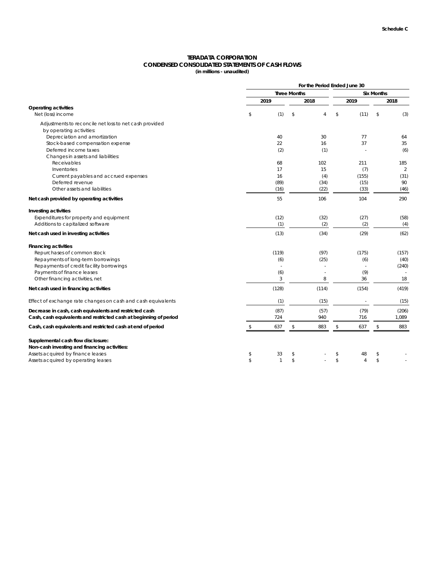## **TERADATA CORPORATION CONDENSED CONSOLIDATED STATEMENTS OF CASH FLOWS**

**(in millions - unaudited)**

|                                                                                    |    |                     |    | For the Period Ended June 30 |                      |    |                |  |
|------------------------------------------------------------------------------------|----|---------------------|----|------------------------------|----------------------|----|----------------|--|
|                                                                                    |    | <b>Three Months</b> |    | <b>Six Months</b>            |                      |    |                |  |
|                                                                                    |    | 2019                |    | 2018                         | 2019                 |    | 2018           |  |
| <b>Operating activities</b><br>Net (loss) income                                   | \$ | (1)                 | \$ | $\overline{A}$               | \$<br>(11)           | \$ | (3)            |  |
| Adjustments to reconcile net loss to net cash provided<br>by operating activities: |    |                     |    |                              |                      |    |                |  |
| Depreciation and amortization                                                      |    | 40                  |    | 30                           | 77                   |    | 64             |  |
| Stock-based compensation expense                                                   |    | 22                  |    | 16                           | 37                   |    | 35             |  |
| Deferred income taxes                                                              |    | (2)                 |    | (1)                          |                      |    | (6)            |  |
| Changes in assets and liabilities:                                                 |    |                     |    |                              |                      |    |                |  |
| Receivables                                                                        |    | 68                  |    | 102                          | 211                  |    | 185            |  |
| Inventories                                                                        |    | 17                  |    | 15                           | (7)                  |    | $\overline{2}$ |  |
| Current payables and accrued expenses                                              |    | 16                  |    | (4)                          | (155)                |    | (31)           |  |
| Deferred revenue                                                                   |    | (89)                |    | (34)                         | (15)                 |    | 90             |  |
| Other assets and liabilities                                                       |    | (16)                |    | (22)                         | (33)                 |    | (46)           |  |
| Net cash provided by operating activities                                          |    | 55                  |    | 106                          | 104                  |    | 290            |  |
| Investing activities                                                               |    |                     |    |                              |                      |    |                |  |
| Expenditures for property and equipment                                            |    | (12)                |    | (32)                         | (27)                 |    | (58)           |  |
| Additions to capitalized software                                                  |    | (1)                 |    | (2)                          | (2)                  |    | (4)            |  |
| Net cash used in investing activities                                              |    | (13)                |    | (34)                         | (29)                 |    | (62)           |  |
| <b>Financing activities</b>                                                        |    |                     |    |                              |                      |    |                |  |
| Repurchases of common stock                                                        |    | (119)               |    | (97)                         | (175)                |    | (157)          |  |
| Repayments of long-term borrowings                                                 |    | (6)                 |    | (25)                         | (6)                  |    | (40)           |  |
| Repayments of credit facility borrowings                                           |    | ÷.                  |    | ÷.                           | $\bar{a}$            |    | (240)          |  |
| Payments of finance leases                                                         |    | (6)                 |    |                              | (9)                  |    |                |  |
| Other financing activities, net                                                    |    | 3                   |    | 8                            | 36                   |    | 18             |  |
| Net cash used in financing activities                                              |    | (128)               |    | (114)                        | (154)                |    | (419)          |  |
| Effect of exchange rate changes on cash and cash equivalents                       |    | (1)                 |    | (15)                         |                      |    | (15)           |  |
| Decrease in cash, cash equivalents and restricted cash                             |    | (87)                |    | (57)                         | (79)                 |    | (206)          |  |
| Cash, cash equivalents and restricted cash at beginning of period                  |    | 724                 |    | 940                          | 716                  |    | 1,089          |  |
| Cash, cash equivalents and restricted cash at end of period                        | -S | 637                 | \$ | 883                          | \$<br>637            | \$ | 883            |  |
| Supplemental cash flow disclosure:                                                 |    |                     |    |                              |                      |    |                |  |
| Non-cash investing and financing activities:                                       |    |                     |    |                              |                      |    |                |  |
| Assets acquired by finance leases                                                  | \$ | 33                  | \$ |                              | \$<br>48             | \$ |                |  |
| Assets acquired by operating leases                                                | \$ | $\mathbf{1}$        | \$ |                              | \$<br>$\overline{4}$ | \$ |                |  |